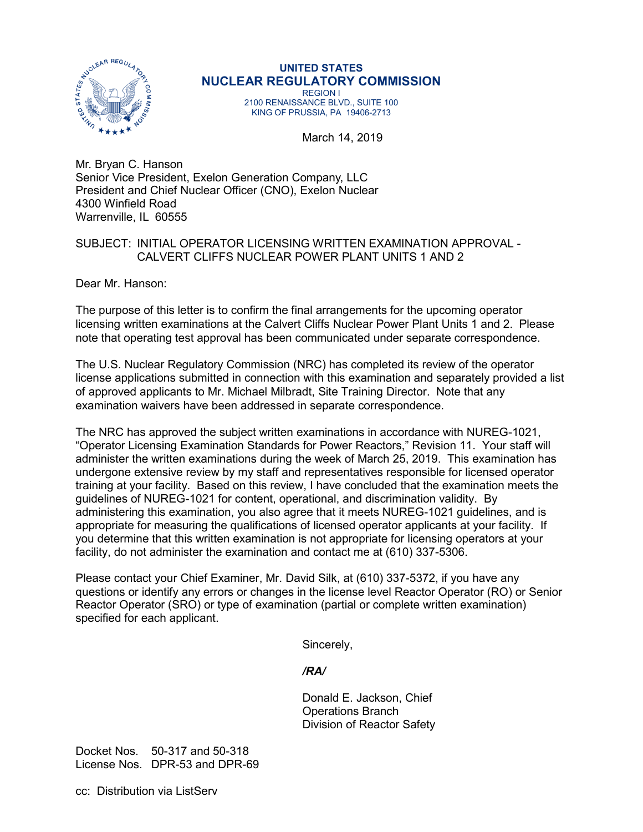

## **UNITED STATES NUCLEAR REGULATORY COMMISSION** REGION I

2100 RENAISSANCE BLVD., SUITE 100 KING OF PRUSSIA, PA 19406-2713

March 14, 2019

Mr. Bryan C. Hanson Senior Vice President, Exelon Generation Company, LLC President and Chief Nuclear Officer (CNO), Exelon Nuclear 4300 Winfield Road Warrenville, IL 60555

## SUBJECT: INITIAL OPERATOR LICENSING WRITTEN EXAMINATION APPROVAL - CALVERT CLIFFS NUCLEAR POWER PLANT UNITS 1 AND 2

Dear Mr. Hanson:

The purpose of this letter is to confirm the final arrangements for the upcoming operator licensing written examinations at the Calvert Cliffs Nuclear Power Plant Units 1 and 2. Please note that operating test approval has been communicated under separate correspondence.

The U.S. Nuclear Regulatory Commission (NRC) has completed its review of the operator license applications submitted in connection with this examination and separately provided a list of approved applicants to Mr. Michael Milbradt, Site Training Director. Note that any examination waivers have been addressed in separate correspondence.

The NRC has approved the subject written examinations in accordance with NUREG-1021, "Operator Licensing Examination Standards for Power Reactors," Revision 11. Your staff will administer the written examinations during the week of March 25, 2019. This examination has undergone extensive review by my staff and representatives responsible for licensed operator training at your facility. Based on this review, I have concluded that the examination meets the guidelines of NUREG-1021 for content, operational, and discrimination validity. By administering this examination, you also agree that it meets NUREG-1021 guidelines, and is appropriate for measuring the qualifications of licensed operator applicants at your facility. If you determine that this written examination is not appropriate for licensing operators at your facility, do not administer the examination and contact me at (610) 337-5306.

Please contact your Chief Examiner, Mr. David Silk, at (610) 337-5372, if you have any questions or identify any errors or changes in the license level Reactor Operator (RO) or Senior Reactor Operator (SRO) or type of examination (partial or complete written examination) specified for each applicant.

Sincerely,

## */RA/*

Donald E. Jackson, Chief Operations Branch Division of Reactor Safety

Docket Nos. 50-317 and 50-318 License Nos. DPR-53 and DPR-69

cc: Distribution via ListServ